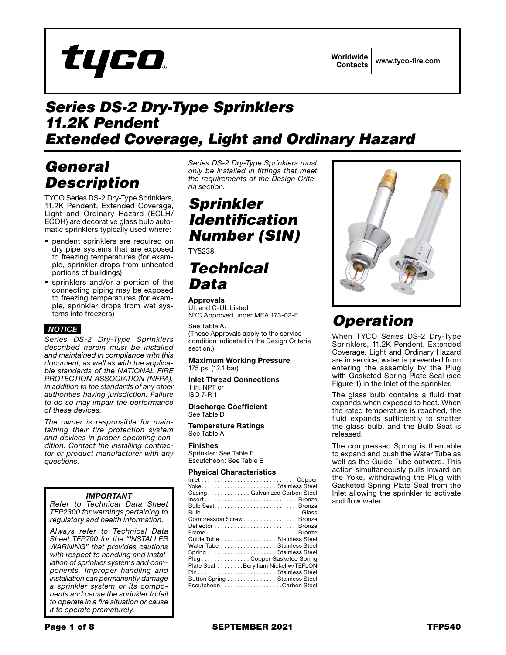

# *Series DS-2 Dry-Type Sprinklers 11.2K Pendent Extended Coverage, Light and Ordinary Hazard*

# *General Description*

TYCO Series DS-2 Dry-Type Sprinklers, 11.2K Pendent, Extended Coverage, Light and Ordinary Hazard (ECLH/ ECOH) are decorative glass bulb automatic sprinklers typically used where:

- pendent sprinklers are required on dry pipe systems that are exposed to freezing temperatures (for example, sprinkler drops from unheated portions of buildings)
- sprinklers and/or a portion of the connecting piping may be exposed to freezing temperatures (for example, sprinkler drops from wet systems into freezers)

## *NOTICE*

*Series DS-2 Dry-Type Sprinklers described herein must be installed and maintained in compliance with this document, as well as with the applicable standards of the NATIONAL FIRE PROTECTION ASSOCIATION (NFPA), in addition to the standards of any other authorities having jurisdiction. Failure to do so may impair the performance of these devices.*

*The owner is responsible for maintaining their fire protection system and devices in proper operating condition. Contact the installing contractor or product manufacturer with any questions.*

### *IMPORTANT*

*Refer to Technical Data Sheet TFP2300 for warnings pertaining to regulatory and health information.*

*Always refer to Technical Data Sheet TFP700 for the "INSTALLER WARNING" that provides cautions with respect to handling and installation of sprinkler systems and components. Improper handling and installation can permanently damage a sprinkler system or its components and cause the sprinkler to fail to operate in a fire situation or cause it to operate prematurely.*

*Series DS-2 Dry-Type Sprinklers must only be installed in fittings that meet the requirements of the Design Criteria section.*

# *Sprinkler Identification Number (SIN)*

TY5238

# *Technical Data*

#### Approvals

UL and C-UL Listed NYC Approved under MEA 173-02-E

See Table A.

(These Approvals apply to the service condition indicated in the Design Criteria section.)

#### Maximum Working Pressure 175 psi (12,1 bar)

Inlet Thread Connections 1 in. NPT or ISO 7-R 1

#### Discharge Coefficient See Table D

Temperature Ratings See Table A

Finishes Sprinkler: See Table E Escutcheon: See Table E

#### Physical Characteristics



# *Operation*

When TYCO Series DS-2 Dry-Type Sprinklers, 11.2K Pendent, Extended Coverage, Light and Ordinary Hazard are in service, water is prevented from entering the assembly by the Plug with Gasketed Spring Plate Seal (see Figure 1) in the Inlet of the sprinkler.

The glass bulb contains a fluid that expands when exposed to heat. When the rated temperature is reached, the fluid expands sufficiently to shatter the glass bulb, and the Bulb Seat is released.

The compressed Spring is then able to expand and push the Water Tube as well as the Guide Tube outward. This action simultaneously pulls inward on the Yoke, withdrawing the Plug with Gasketed Spring Plate Seal from the Inlet allowing the sprinkler to activate and flow water.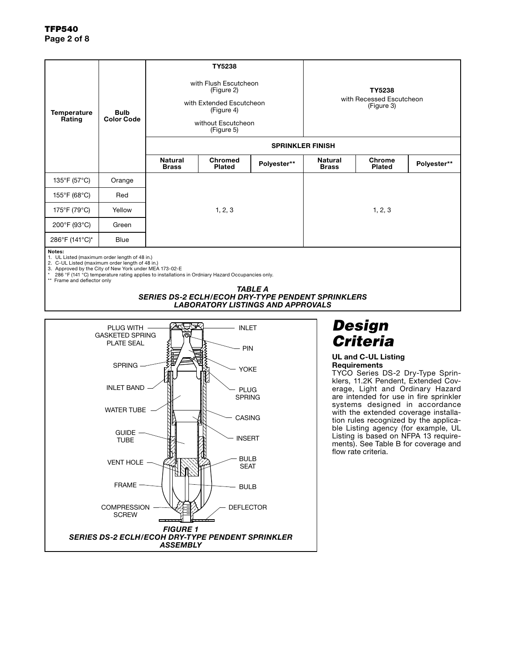| Temperature<br>Rating                                   | <b>Bulb</b><br><b>Color Code</b> | TY5238<br>with Flush Escutcheon<br>(Figure 2)<br>with Extended Escutcheon<br>(Figure 4)<br>without Escutcheon<br>(Figure 5)<br><b>SPRINKLER FINISH</b> |                                 | TY5238<br>with Recessed Escutcheon<br>(Figure 3) |                                |                                |             |
|---------------------------------------------------------|----------------------------------|--------------------------------------------------------------------------------------------------------------------------------------------------------|---------------------------------|--------------------------------------------------|--------------------------------|--------------------------------|-------------|
|                                                         |                                  | <b>Natural</b><br><b>Brass</b>                                                                                                                         | <b>Chromed</b><br><b>Plated</b> | Polyester**                                      | <b>Natural</b><br><b>Brass</b> | <b>Chrome</b><br><b>Plated</b> | Polyester** |
| 135°F (57°C)                                            | Orange                           |                                                                                                                                                        |                                 |                                                  |                                |                                |             |
| 155°F (68°C)                                            | Red                              |                                                                                                                                                        |                                 |                                                  |                                |                                |             |
| 175°F (79°C)                                            | Yellow                           | 1, 2, 3                                                                                                                                                |                                 |                                                  | 1, 2, 3                        |                                |             |
| 200°F (93°C)                                            | Green                            |                                                                                                                                                        |                                 |                                                  |                                |                                |             |
| 286°F (141°C)*                                          | <b>Blue</b>                      |                                                                                                                                                        |                                 |                                                  |                                |                                |             |
| Notes:<br>1. UL Listed (maximum order length of 48 in.) |                                  |                                                                                                                                                        |                                 |                                                  |                                |                                |             |

1. UL Listed (maximum order length of 48 in.)<br>2. C-UL Listed (maximum order length of 48 in.)<br>3. Approved by the City of New York under MEA 173-02-E<br>\* 286 °F (141 °C) temperature rating applies to installations in Or

*TABLE A SERIES DS-2 ECLH/ECOH DRY-TYPE PENDENT SPRINKLERS LABORATORY LISTINGS AND APPROVALS*



## *Design Criteria*

#### UL and C-UL Listing **Requirements**

TYCO Series DS-2 Dry-Type Sprinklers, 11.2K Pendent, Extended Coverage, Light and Ordinary Hazard are intended for use in fire sprinkler systems designed in accordance with the extended coverage installation rules recognized by the applicable Listing agency (for example, UL Listing is based on NFPA 13 requirements). See Table B for coverage and flow rate criteria.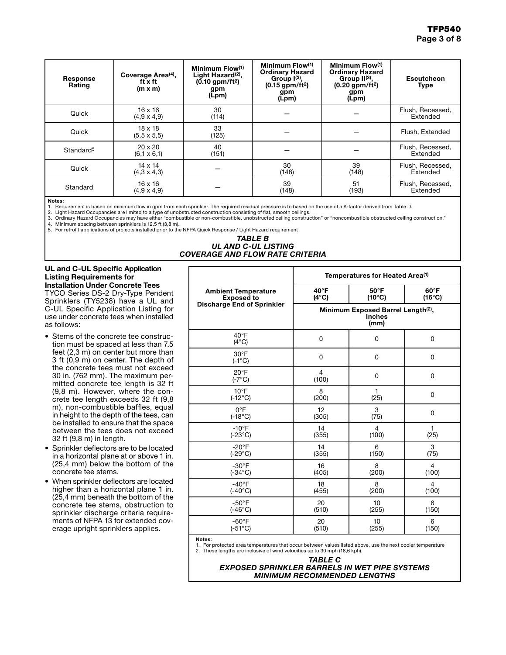| Response<br>Rating    | Coverage Area <sup>(4)</sup> .<br>ft x ft<br>$(m \times m)$ | Minimum Flow(1)<br>Light Hazard <sup>(2)</sup> ,<br>$(0.10$ gpm/ft <sup>2</sup> )<br>gpm<br>(Lpm) | Minimum Flow(1)<br><b>Ordinary Hazard</b><br>Group $I^{(3)}$ ,<br>$(0.15$ gpm/ft <sup>2</sup> )<br>gpm<br>(Lpm) | Minimum Flow(1)<br><b>Ordinary Hazard</b><br>Group $H^{(3)}$ ,<br>$(0.20$ gpm/ft <sup>2</sup> )<br>gpm<br>(Lpm) | <b>Escutcheon</b><br><b>Type</b> |
|-----------------------|-------------------------------------------------------------|---------------------------------------------------------------------------------------------------|-----------------------------------------------------------------------------------------------------------------|-----------------------------------------------------------------------------------------------------------------|----------------------------------|
| Quick                 | $16 \times 16$<br>$(4.9 \times 4.9)$                        | 30<br>(114)                                                                                       |                                                                                                                 |                                                                                                                 | Flush, Recessed,<br>Extended     |
| Quick                 | $18 \times 18$<br>$(5.5 \times 5.5)$                        | 33<br>(125)                                                                                       |                                                                                                                 |                                                                                                                 | Flush, Extended                  |
| Standard <sup>5</sup> | $20 \times 20$<br>$(6.1 \times 6.1)$                        | 40<br>(151)                                                                                       |                                                                                                                 |                                                                                                                 | Flush, Recessed,<br>Extended     |
| Quick                 | $14 \times 14$<br>$(4,3 \times 4,3)$                        |                                                                                                   | 30<br>(148)                                                                                                     | 39<br>(148)                                                                                                     | Flush, Recessed,<br>Extended     |
| Standard              | $16 \times 16$<br>$(4.9 \times 4.9)$                        |                                                                                                   | 39<br>(148)                                                                                                     | 51<br>(193)                                                                                                     | Flush, Recessed,<br>Extended     |

#### Notes:

1. Requirement is based on minimum flow in gpm from each sprinkler. The required residual pressure is to based on the use of a K-factor derived from Table D.<br>2. Light Hazard Occupancies are limited to a type of unobstruc

3. Ordinary Hazard Occupancies may have either "combustible or non-combustible, unobstructed ceiling construction" or "noncombustible obstructed ceiling construction."

*COVERAGE AND FLOW RATE CRITERIA*

4. Minimum spacing between sprinklers is 12.5 ft (3,8 m). 5. For retrofit applications of projects installed prior to the NFPA Quick Response / Light Hazard requirement

### *TABLE B UL AND C-UL LISTING*

#### UL and C-UL Specific Application Listing Requirements for Installation Under Concrete Tees

TYCO Series DS-2 Dry-Type Pendent Sprinklers (TY5238) have a UL and C-UL Specific Application Listing for use under concrete tees when installed as follows:

- Stems of the concrete tee construction must be spaced at less than 7.5 feet (2,3 m) on center but more than 3 ft (0,9 m) on center. The depth of the concrete tees must not exceed 30 in. (762 mm). The maximum permitted concrete tee length is 32 ft (9,8 m). However, where the concrete tee length exceeds 32 ft (9,8 m), non-combustible baffles, equal in height to the depth of the tees, can be installed to ensure that the space between the tees does not exceed 32 ft (9,8 m) in length.
- Sprinkler deflectors are to be located in a horizontal plane at or above 1 in. (25,4 mm) below the bottom of the concrete tee stems.
- When sprinkler deflectors are located higher than a horizontal plane 1 in. (25,4 mm) beneath the bottom of the concrete tee stems, obstruction to sprinkler discharge criteria requirements of NFPA 13 for extended coverage upright sprinklers applies.

| Temperatures for Heated Area <sup>(1)</sup>                             |                                   |                                   |  |  |  |
|-------------------------------------------------------------------------|-----------------------------------|-----------------------------------|--|--|--|
| $40^{\circ}$ F<br>$(4^{\circ}C)$                                        | $50^{\circ}$ F<br>$(10^{\circ}C)$ | $60^{\circ}$ F<br>$(16^{\circ}C)$ |  |  |  |
| Minimum Exposed Barrel Length <sup>(2)</sup> ,<br><b>Inches</b><br>(mm) |                                   |                                   |  |  |  |
| 0                                                                       | 0                                 | 0                                 |  |  |  |
| 0                                                                       | 0                                 | 0                                 |  |  |  |
| $\overline{4}$<br>(100)                                                 | 0                                 | 0                                 |  |  |  |
| 8<br>(200)                                                              | 1<br>(25)                         | 0                                 |  |  |  |
| 12<br>(305)                                                             | 3<br>(75)                         | 0                                 |  |  |  |
| 14<br>(355)                                                             | $\overline{4}$<br>(100)           | 1<br>(25)                         |  |  |  |
| 14<br>(355)                                                             | 6<br>(150)                        | 3<br>(75)                         |  |  |  |
| 16<br>(405)                                                             | 8<br>(200)                        | 4<br>(100)                        |  |  |  |
| 18<br>(455)                                                             | 8<br>(200)                        | 4<br>(100)                        |  |  |  |
| 20<br>(510)                                                             | 10<br>(255)                       | 6<br>(150)                        |  |  |  |
| 20<br>(510)                                                             | 10<br>(255)                       | 6<br>(150)                        |  |  |  |
|                                                                         |                                   |                                   |  |  |  |

Notes:

1. For protected area temperatures that occur between values listed above, use the next cooler temperature 2. These lengths are inclusive of wind velocities up to 30 mph (18,6 kph).

#### *TABLE C EXPOSED SPRINKLER BARRELS IN WET PIPE SYSTEMS MINIMUM RECOMMENDED LENGTHS*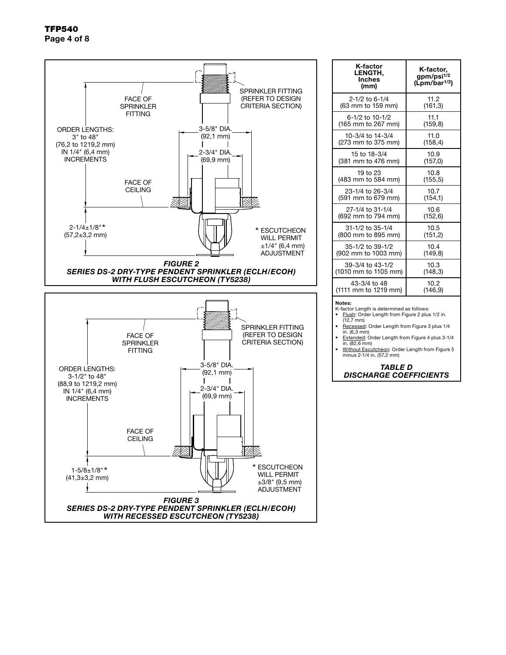

| K-factor<br><b>LENGTH,</b><br><b>Inches</b><br>(mm)                                                                                                                                                    | K-factor,<br>gpm/psi <sup>1/2</sup><br>(Lpm/bar <sup>1/2</sup> ) |  |  |
|--------------------------------------------------------------------------------------------------------------------------------------------------------------------------------------------------------|------------------------------------------------------------------|--|--|
| 2-1/2 to 6-1/4                                                                                                                                                                                         | 11.2                                                             |  |  |
| (63 mm to 159 mm)                                                                                                                                                                                      | (161, 3)                                                         |  |  |
| 6-1/2 to 10-1/2                                                                                                                                                                                        | 11.1                                                             |  |  |
| (165 mm to 267 mm)                                                                                                                                                                                     | (159, 8)                                                         |  |  |
| 10-3/4 to 14-3/4                                                                                                                                                                                       | 11.0                                                             |  |  |
| (273 mm to 375 mm)                                                                                                                                                                                     | (158, 4)                                                         |  |  |
| 15 to 18-3/4                                                                                                                                                                                           | 10.9                                                             |  |  |
| (381 mm to 476 mm)                                                                                                                                                                                     | (157, 0)                                                         |  |  |
| 19 to 23                                                                                                                                                                                               | 10.8                                                             |  |  |
| (483 mm to 584 mm)                                                                                                                                                                                     | (155, 5)                                                         |  |  |
| 23-1/4 to 26-3/4                                                                                                                                                                                       | 10.7                                                             |  |  |
| (591 mm to 679 mm)                                                                                                                                                                                     | (154, 1)                                                         |  |  |
| 27-1/4 to 31-1/4                                                                                                                                                                                       | 10.6                                                             |  |  |
| (692 mm to 794 mm)                                                                                                                                                                                     | (152, 6)                                                         |  |  |
| 31-1/2 to 35-1/4                                                                                                                                                                                       | 10.5                                                             |  |  |
| (800 mm to 895 mm)                                                                                                                                                                                     | (151, 2)                                                         |  |  |
| 35-1/2 to 39-1/2                                                                                                                                                                                       | 10.4                                                             |  |  |
| (902 mm to 1003 mm)                                                                                                                                                                                    | (149, 8)                                                         |  |  |
| 39-3/4 to 43-1/2                                                                                                                                                                                       | 10.3                                                             |  |  |
| (1010 mm to 1105 mm)                                                                                                                                                                                   | (148, 3)                                                         |  |  |
| 43-3/4 to 48                                                                                                                                                                                           | 10.2                                                             |  |  |
| (1111 mm to 1219 mm)                                                                                                                                                                                   | (146.9)                                                          |  |  |
| Notes:<br>K-factor Length is determined as follows:<br>Flush: Order Length from Figure 2 plus 1/2 in.<br>$(12,7 \text{ mm})$<br>Recessed: Order Length from Figure 3 plus 1/4<br>in $(6.3 \text{ mm})$ |                                                                  |  |  |

in. (6,3 mm) • Extended: Order Length from Figure 4 plus 3-1/4

in. (82,6 mm) • Without Escutcheon: Order Length from Figure 5 minus 2-1/4 in. (57,2 mm)

*TABLE D DISCHARGE COEFFICIENTS*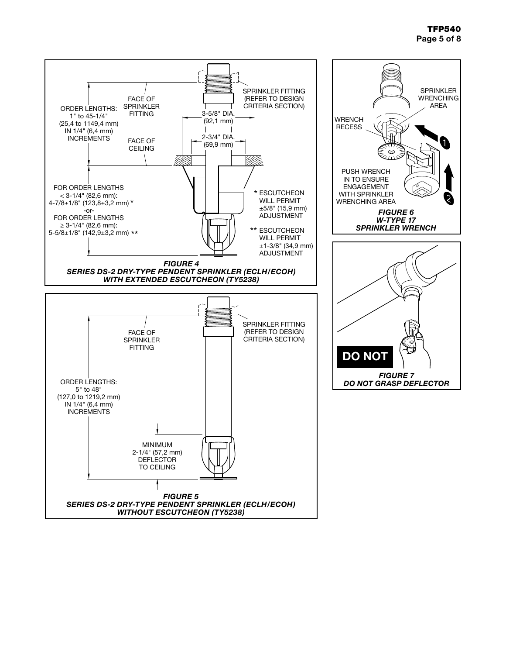## TFP540 Page 5 of 8

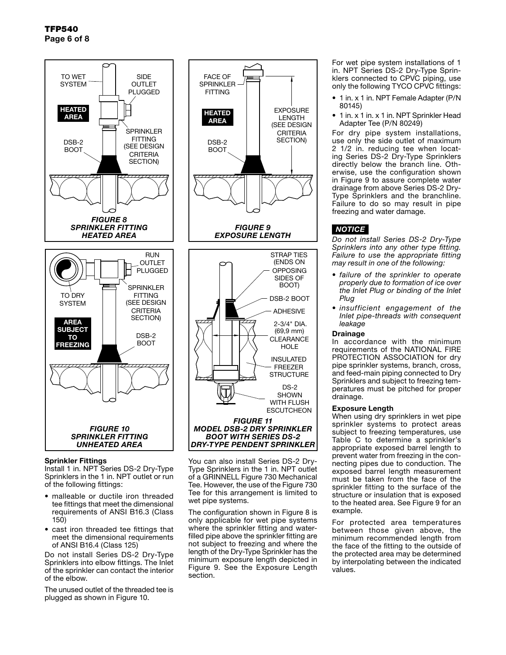TFP540 Page 6 of 8



#### Sprinkler Fittings

Install 1 in. NPT Series DS-2 Dry-Type Sprinklers in the 1 in. NPT outlet or run of the following fittings:

- malleable or ductile iron threaded tee fittings that meet the dimensional requirements of ANSI B16.3 (Class 150)
- cast iron threaded tee fittings that meet the dimensional requirements of ANSI B16.4 (Class 125)

Do not install Series DS-2 Dry-Type Sprinklers into elbow fittings. The Inlet of the sprinkler can contact the interior of the elbow.

The unused outlet of the threaded tee is plugged as shown in Figure 10.



You can also install Series DS-2 Dry-Type Sprinklers in the 1 in. NPT outlet of a GRINNELL Figure 730 Mechanical Tee. However, the use of the Figure 730 Tee for this arrangement is limited to wet pipe systems.

The configuration shown in Figure 8 is only applicable for wet pipe systems where the sprinkler fitting and waterfilled pipe above the sprinkler fitting are not subject to freezing and where the length of the Dry-Type Sprinkler has the minimum exposure length depicted in Figure 9. See the Exposure Length section.

For wet pipe system installations of 1 in. NPT Series DS-2 Dry-Type Sprinklers connected to CPVC piping, use only the following TYCO CPVC fittings:

- 1 in. x 1 in. NPT Female Adapter (P/N 80145)
- 1 in. x 1 in. x 1 in. NPT Sprinkler Head Adapter Tee (P/N 80249)

For dry pipe system installations, use only the side outlet of maximum 2 1/2 in. reducing tee when locating Series DS-2 Dry-Type Sprinklers directly below the branch line. Otherwise, use the configuration shown in Figure 9 to assure complete water drainage from above Series DS-2 Dry-Type Sprinklers and the branchline. Failure to do so may result in pipe freezing and water damage.

### *NOTICE*

*Do not install Series DS-2 Dry-Type Sprinklers into any other type fitting. Failure to use the appropriate fitting may result in one of the following:*

- *• failure of the sprinkler to operate properly due to formation of ice over the Inlet Plug or binding of the Inlet Plug*
- *• insufficient engagement of the Inlet pipe-threads with consequent leakage*

#### Drainage

In accordance with the minimum requirements of the NATIONAL FIRE PROTECTION ASSOCIATION for dry pipe sprinkler systems, branch, cross, and feed-main piping connected to Dry Sprinklers and subject to freezing temperatures must be pitched for proper drainage.

#### Exposure Length

When using dry sprinklers in wet pipe sprinkler systems to protect areas subject to freezing temperatures, use Table C to determine a sprinkler's appropriate exposed barrel length to prevent water from freezing in the connecting pipes due to conduction. The exposed barrel length measurement must be taken from the face of the sprinkler fitting to the surface of the structure or insulation that is exposed to the heated area. See Figure 9 for an example.

For protected area temperatures between those given above, the minimum recommended length from the face of the fitting to the outside of the protected area may be determined by interpolating between the indicated values.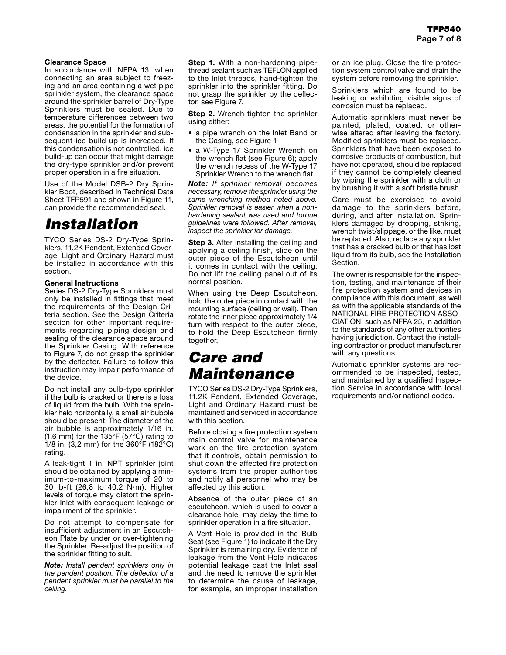#### Clearance Space

In accordance with NFPA 13, when connecting an area subject to freezing and an area containing a wet pipe sprinkler system, the clearance space around the sprinkler barrel of Dry-Type Sprinklers must be sealed. Due to temperature differences between two areas, the potential for the formation of condensation in the sprinkler and subsequent ice build-up is increased. If this condensation is not controlled, ice build-up can occur that might damage the dry-type sprinkler and/or prevent proper operation in a fire situation.

Use of the Model DSB-2 Dry Sprinkler Boot, described in Technical Data Sheet TFP591 and shown in Figure 11, can provide the recommended seal.

## *Installation*

TYCO Series DS-2 Dry-Type Sprinklers, 11.2K Pendent, Extended Coverage, Light and Ordinary Hazard must be installed in accordance with this section.

#### General Instructions

Series DS-2 Dry-Type Sprinklers must only be installed in fittings that meet the requirements of the Design Criteria section. See the Design Criteria section for other important requirements regarding piping design and sealing of the clearance space around the Sprinkler Casing. With reference to Figure 7, do not grasp the sprinkler by the deflector. Failure to follow this instruction may impair performance of the device.

Do not install any bulb-type sprinkler if the bulb is cracked or there is a loss of liquid from the bulb. With the sprinkler held horizontally, a small air bubble should be present. The diameter of the air bubble is approximately 1/16 in. (1,6 mm) for the 135°F (57°C) rating to 1/8 in. (3,2 mm) for the 360°F (182°C) rating.

A leak-tight 1 in. NPT sprinkler joint should be obtained by applying a minimum-to-maximum torque of 20 to 30 lb-ft (26,8 to 40,2 N·m). Higher levels of torque may distort the sprinkler Inlet with consequent leakage or impairment of the sprinkler.

Do not attempt to compensate for insufficient adjustment in an Escutcheon Plate by under or over-tightening the Sprinkler. Re-adjust the position of the sprinkler fitting to suit.

*Note: Install pendent sprinklers only in the pendent position. The deflector of a pendent sprinkler must be parallel to the ceiling.*

**Step 1.** With a non-hardening pipethread sealant such as TEFLON applied to the Inlet threads, hand-tighten the sprinkler into the sprinkler fitting. Do not grasp the sprinkler by the deflector, see Figure 7.

**Step 2.** Wrench-tighten the sprinkler using either:

- a pipe wrench on the Inlet Band or the Casing, see Figure 1
- a W-Type 17 Sprinkler Wrench on the wrench flat (see Figure 6); apply the wrench recess of the W-Type 17 Sprinkler Wrench to the wrench flat

*Note: If sprinkler removal becomes necessary, remove the sprinkler using the same wrenching method noted above. Sprinkler removal is easier when a nonhardening sealant was used and torque guidelines were followed. After removal, inspect the sprinkler for damage.*

**Step 3.** After installing the ceiling and applying a ceiling finish, slide on the outer piece of the Escutcheon until it comes in contact with the ceiling. Do not lift the ceiling panel out of its normal position.

When using the Deep Escutcheon, hold the outer piece in contact with the mounting surface (ceiling or wall). Then rotate the inner piece approximately 1/4 turn with respect to the outer piece, to hold the Deep Escutcheon firmly together.

## *Care and Maintenance*

TYCO Series DS-2 Dry-Type Sprinklers, 11.2K Pendent, Extended Coverage, Light and Ordinary Hazard must be maintained and serviced in accordance with this section.

Before closing a fire protection system main control valve for maintenance work on the fire protection system that it controls, obtain permission to shut down the affected fire protection systems from the proper authorities and notify all personnel who may be affected by this action.

Absence of the outer piece of an escutcheon, which is used to cover a clearance hole, may delay the time to sprinkler operation in a fire situation.

A Vent Hole is provided in the Bulb Seat (see Figure 1) to indicate if the Dry Sprinkler is remaining dry. Evidence of leakage from the Vent Hole indicates potential leakage past the Inlet seal and the need to remove the sprinkler to determine the cause of leakage, for example, an improper installation

or an ice plug. Close the fire protection system control valve and drain the system before removing the sprinkler.

Sprinklers which are found to be leaking or exhibiting visible signs of corrosion must be replaced.

Automatic sprinklers must never be painted, plated, coated, or otherwise altered after leaving the factory. Modified sprinklers must be replaced. Sprinklers that have been exposed to corrosive products of combustion, but have not operated, should be replaced if they cannot be completely cleaned by wiping the sprinkler with a cloth or by brushing it with a soft bristle brush.

Care must be exercised to avoid damage to the sprinklers before, during, and after installation. Sprinklers damaged by dropping, striking, wrench twist/slippage, or the like, must be replaced. Also, replace any sprinkler that has a cracked bulb or that has lost liquid from its bulb, see the Installation Section.

The owner is responsible for the inspection, testing, and maintenance of their fire protection system and devices in compliance with this document, as well as with the applicable standards of the NATIONAL FIRE PROTECTION ASSO-CIATION, such as NFPA 25, in addition to the standards of any other authorities having jurisdiction. Contact the installing contractor or product manufacturer with any questions.

Automatic sprinkler systems are recommended to be inspected, tested, and maintained by a qualified Inspection Service in accordance with local requirements and/or national codes.